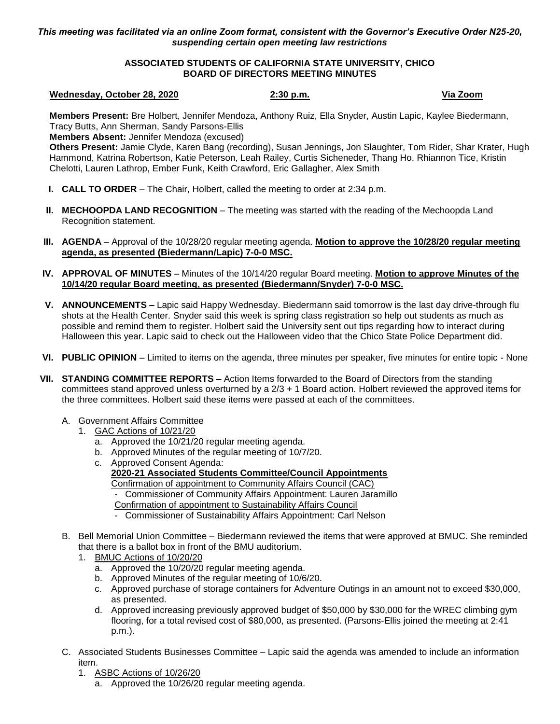## *This meeting was facilitated via an online Zoom format, consistent with the Governor's Executive Order N25-20, suspending certain open meeting law restrictions*

# **ASSOCIATED STUDENTS OF CALIFORNIA STATE UNIVERSITY, CHICO BOARD OF DIRECTORS MEETING MINUTES**

### **Wednesday, October 28, 2020 2:30 p.m. Via Zoom**

**Members Present:** Bre Holbert, Jennifer Mendoza, Anthony Ruiz, Ella Snyder, Austin Lapic, Kaylee Biedermann, Tracy Butts, Ann Sherman, Sandy Parsons-Ellis

**Members Absent:** Jennifer Mendoza (excused)

**Others Present:** Jamie Clyde, Karen Bang (recording), Susan Jennings, Jon Slaughter, Tom Rider, Shar Krater, Hugh Hammond, Katrina Robertson, Katie Peterson, Leah Railey, Curtis Sicheneder, Thang Ho, Rhiannon Tice, Kristin Chelotti, Lauren Lathrop, Ember Funk, Keith Crawford, Eric Gallagher, Alex Smith

- **I. CALL TO ORDER** The Chair, Holbert, called the meeting to order at 2:34 p.m.
- **II. MECHOOPDA LAND RECOGNITION** The meeting was started with the reading of the Mechoopda Land Recognition statement.
- **III. AGENDA** Approval of the 10/28/20 regular meeting agenda. **Motion to approve the 10/28/20 regular meeting agenda, as presented (Biedermann/Lapic) 7-0-0 MSC.**
- **IV. APPROVAL OF MINUTES** Minutes of the 10/14/20 regular Board meeting. **Motion to approve Minutes of the 10/14/20 regular Board meeting, as presented (Biedermann/Snyder) 7-0-0 MSC.**
- **V. ANNOUNCEMENTS –** Lapic said Happy Wednesday. Biedermann said tomorrow is the last day drive-through flu shots at the Health Center. Snyder said this week is spring class registration so help out students as much as possible and remind them to register. Holbert said the University sent out tips regarding how to interact during Halloween this year. Lapic said to check out the Halloween video that the Chico State Police Department did.
- **VI. PUBLIC OPINION** Limited to items on the agenda, three minutes per speaker, five minutes for entire topic None
- **VII. STANDING COMMITTEE REPORTS –** Action Items forwarded to the Board of Directors from the standing committees stand approved unless overturned by a 2/3 + 1 Board action. Holbert reviewed the approved items for the three committees. Holbert said these items were passed at each of the committees.
	- A. Government Affairs Committee
		- 1. GAC Actions of 10/21/20
			- a. Approved the 10/21/20 regular meeting agenda.
			- b. Approved Minutes of the regular meeting of 10/7/20.
			- c. Approved Consent Agenda: **2020-21 Associated Students Committee/Council Appointments** Confirmation of appointment to Community Affairs Council (CAC) - Commissioner of Community Affairs Appointment: Lauren Jaramillo Confirmation of appointment to Sustainability Affairs Council
				- Commissioner of Sustainability Affairs Appointment: Carl Nelson
	- B. Bell Memorial Union Committee Biedermann reviewed the items that were approved at BMUC. She reminded that there is a ballot box in front of the BMU auditorium.
		- 1. BMUC Actions of 10/20/20
			- a. Approved the 10/20/20 regular meeting agenda.
			- b. Approved Minutes of the regular meeting of 10/6/20.
			- c. Approved purchase of storage containers for Adventure Outings in an amount not to exceed \$30,000, as presented.
			- d. Approved increasing previously approved budget of \$50,000 by \$30,000 for the WREC climbing gym flooring, for a total revised cost of \$80,000, as presented. (Parsons-Ellis joined the meeting at 2:41 p.m.).
	- C. Associated Students Businesses Committee Lapic said the agenda was amended to include an information item.
		- 1. ASBC Actions of 10/26/20
			- a. Approved the 10/26/20 regular meeting agenda.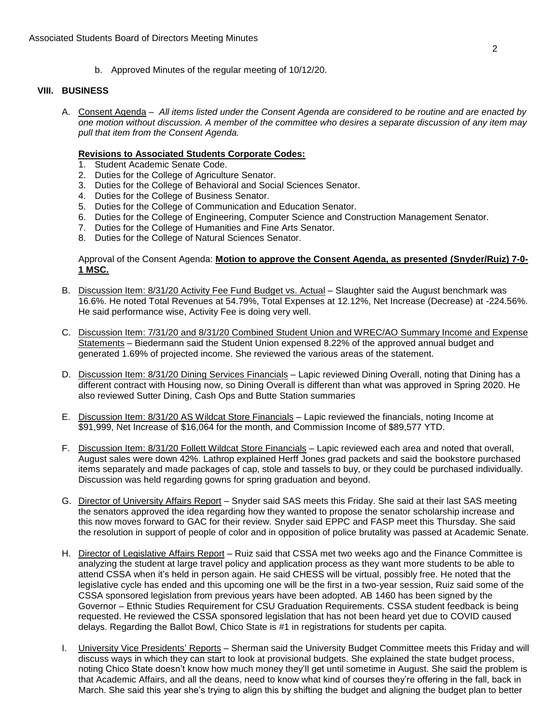b. Approved Minutes of the regular meeting of 10/12/20.

# **VIII. BUSINESS**

A. Consent Agenda – *All items listed under the Consent Agenda are considered to be routine and are enacted by one motion without discussion. A member of the committee who desires a separate discussion of any item may pull that item from the Consent Agenda.*

## **Revisions to Associated Students Corporate Codes:**

- 1. Student Academic Senate Code.
- 2. Duties for the College of Agriculture Senator.
- 3. Duties for the College of Behavioral and Social Sciences Senator.
- 4. Duties for the College of Business Senator.
- 5. Duties for the College of Communication and Education Senator.
- 6. Duties for the College of Engineering, Computer Science and Construction Management Senator.
- 7. Duties for the College of Humanities and Fine Arts Senator.
- 8. Duties for the College of Natural Sciences Senator.

# Approval of the Consent Agenda: **Motion to approve the Consent Agenda, as presented (Snyder/Ruiz) 7-0- 1 MSC.**

- B. Discussion Item: 8/31/20 Activity Fee Fund Budget vs. Actual Slaughter said the August benchmark was 16.6%. He noted Total Revenues at 54.79%, Total Expenses at 12.12%, Net Increase (Decrease) at -224.56%. He said performance wise, Activity Fee is doing very well.
- C. Discussion Item: 7/31/20 and 8/31/20 Combined Student Union and WREC/AO Summary Income and Expense Statements – Biedermann said the Student Union expensed 8.22% of the approved annual budget and generated 1.69% of projected income. She reviewed the various areas of the statement.
- D. Discussion Item: 8/31/20 Dining Services Financials Lapic reviewed Dining Overall, noting that Dining has a different contract with Housing now, so Dining Overall is different than what was approved in Spring 2020. He also reviewed Sutter Dining, Cash Ops and Butte Station summaries
- E. Discussion Item: 8/31/20 AS Wildcat Store Financials Lapic reviewed the financials, noting Income at \$91,999, Net Increase of \$16,064 for the month, and Commission Income of \$89,577 YTD.
- F. Discussion Item: 8/31/20 Follett Wildcat Store Financials Lapic reviewed each area and noted that overall, August sales were down 42%. Lathrop explained Herff Jones grad packets and said the bookstore purchased items separately and made packages of cap, stole and tassels to buy, or they could be purchased individually. Discussion was held regarding gowns for spring graduation and beyond.
- G. Director of University Affairs Report Snyder said SAS meets this Friday. She said at their last SAS meeting the senators approved the idea regarding how they wanted to propose the senator scholarship increase and this now moves forward to GAC for their review. Snyder said EPPC and FASP meet this Thursday. She said the resolution in support of people of color and in opposition of police brutality was passed at Academic Senate.
- H. Director of Legislative Affairs Report Ruiz said that CSSA met two weeks ago and the Finance Committee is analyzing the student at large travel policy and application process as they want more students to be able to attend CSSA when it's held in person again. He said CHESS will be virtual, possibly free. He noted that the legislative cycle has ended and this upcoming one will be the first in a two-year session, Ruiz said some of the CSSA sponsored legislation from previous years have been adopted. AB 1460 has been signed by the Governor – Ethnic Studies Requirement for CSU Graduation Requirements. CSSA student feedback is being requested. He reviewed the CSSA sponsored legislation that has not been heard yet due to COVID caused delays. Regarding the Ballot Bowl, Chico State is #1 in registrations for students per capita.
- I. University Vice Presidents' Reports Sherman said the University Budget Committee meets this Friday and will discuss ways in which they can start to look at provisional budgets. She explained the state budget process, noting Chico State doesn't know how much money they'll get until sometime in August. She said the problem is that Academic Affairs, and all the deans, need to know what kind of courses they're offering in the fall, back in March. She said this year she's trying to align this by shifting the budget and aligning the budget plan to better